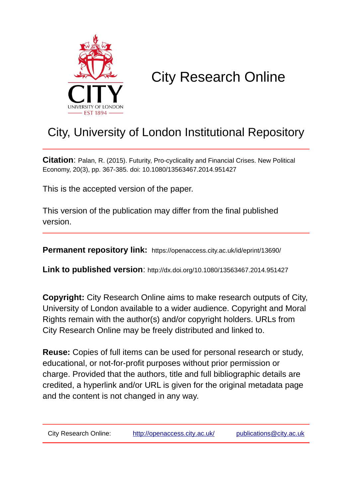

# City Research Online

# City, University of London Institutional Repository

**Citation**: Palan, R. (2015). Futurity, Pro-cyclicality and Financial Crises. New Political Economy, 20(3), pp. 367-385. doi: 10.1080/13563467.2014.951427

This is the accepted version of the paper.

This version of the publication may differ from the final published version.

**Permanent repository link:** https://openaccess.city.ac.uk/id/eprint/13690/

**Link to published version**: http://dx.doi.org/10.1080/13563467.2014.951427

**Copyright:** City Research Online aims to make research outputs of City, University of London available to a wider audience. Copyright and Moral Rights remain with the author(s) and/or copyright holders. URLs from City Research Online may be freely distributed and linked to.

**Reuse:** Copies of full items can be used for personal research or study, educational, or not-for-profit purposes without prior permission or charge. Provided that the authors, title and full bibliographic details are credited, a hyperlink and/or URL is given for the original metadata page and the content is not changed in any way.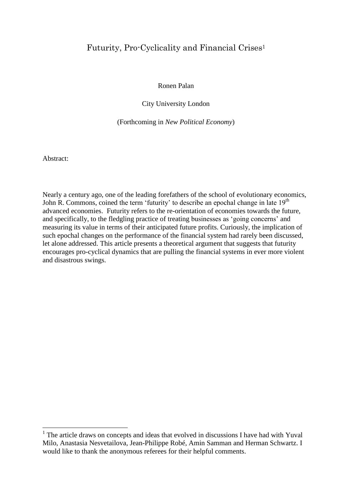# Futurity, Pro-Cyclicality and Financial Crises<sup>1</sup>

Ronen Palan

City University London

(Forthcoming in *New Political Economy*)

Abstract:

**.** 

Nearly a century ago, one of the leading forefathers of the school of evolutionary economics, John R. Commons, coined the term 'futurity' to describe an epochal change in late 19<sup>th</sup> advanced economies. Futurity refers to the re-orientation of economies towards the future, and specifically, to the fledgling practice of treating businesses as 'going concerns' and measuring its value in terms of their anticipated future profits. Curiously, the implication of such epochal changes on the performance of the financial system had rarely been discussed, let alone addressed. This article presents a theoretical argument that suggests that futurity encourages pro-cyclical dynamics that are pulling the financial systems in ever more violent and disastrous swings.

<sup>&</sup>lt;sup>1</sup> The article draws on concepts and ideas that evolved in discussions I have had with Yuval Milo, Anastasia Nesvetailova, Jean-Philippe Robé, Amin Samman and Herman Schwartz. I would like to thank the anonymous referees for their helpful comments.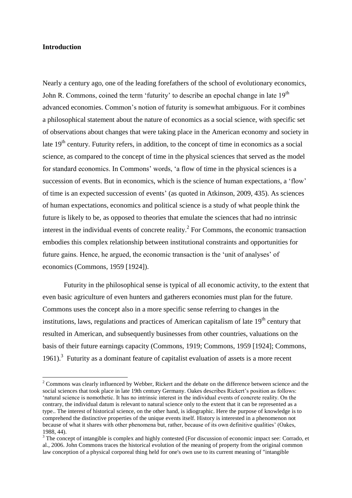#### **Introduction**

**.** 

Nearly a century ago, one of the leading forefathers of the school of evolutionary economics, John R. Commons, coined the term 'futurity' to describe an epochal change in late 19<sup>th</sup> advanced economies. Common's notion of futurity is somewhat ambiguous. For it combines a philosophical statement about the nature of economics as a social science, with specific set of observations about changes that were taking place in the American economy and society in late  $19<sup>th</sup>$  century. Futurity refers, in addition, to the concept of time in economics as a social science, as compared to the concept of time in the physical sciences that served as the model for standard economics. In Commons' words, 'a flow of time in the physical sciences is a succession of events. But in economics, which is the science of human expectations, a 'flow' of time is an expected succession of events' (as quoted in Atkinson, 2009, 435). As sciences of human expectations, economics and political science is a study of what people think the future is likely to be, as opposed to theories that emulate the sciences that had no intrinsic interest in the individual events of concrete reality.<sup>2</sup> For Commons, the economic transaction embodies this complex relationship between institutional constraints and opportunities for future gains. Hence, he argued, the economic transaction is the 'unit of analyses' of economics (Commons, 1959 [1924]).

Futurity in the philosophical sense is typical of all economic activity, to the extent that even basic agriculture of even hunters and gatherers economies must plan for the future. Commons uses the concept also in a more specific sense referring to changes in the institutions, laws, regulations and practices of American capitalism of late  $19<sup>th</sup>$  century that resulted in American, and subsequently businesses from other countries, valuations on the basis of their future earnings capacity (Commons, 1919; Commons, 1959 [1924]; Commons, 1961). $3$  Futurity as a dominant feature of capitalist evaluation of assets is a more recent

<sup>&</sup>lt;sup>2</sup> Commons was clearly influenced by Webber, Rickert and the debate on the difference between science and the social sciences that took place in late 19th century Germany. Oakes describes Rickert's position as follows: 'natural science is nomothetic. It has no intrinsic interest in the individual events of concrete reality. On the contrary, the individual datum is relevant to natural science only to the extent that it can be represented as a type.. The interest of historical science, on the other hand, is idiographic. Here the purpose of knowledge is to comprehend the distinctive properties of the unique events itself. History is interested in a phenomenon not because of what it shares with other phenomena but, rather, because of its own definitive qualities' (Oakes, 1988, 44).

<sup>&</sup>lt;sup>3</sup> The concept of intangible is complex and highly contested (For discussion of economic impact see: Corrado, et al., 2006. John Commons traces the historical evolution of the meaning of property from the original common law conception of a physical corporeal thing held for one's own use to its current meaning of "intangible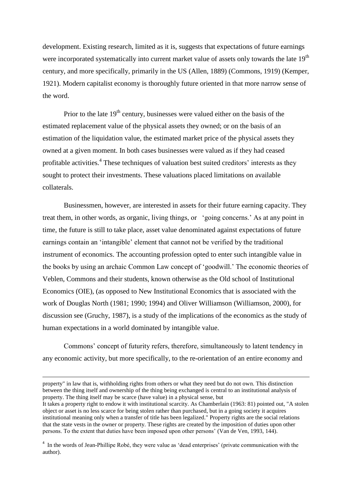development. Existing research, limited as it is, suggests that expectations of future earnings were incorporated systematically into current market value of assets only towards the late 19<sup>th</sup> century, and more specifically, primarily in the US (Allen, 1889) (Commons, 1919) (Kemper, 1921). Modern capitalist economy is thoroughly future oriented in that more narrow sense of the word.

Prior to the late  $19<sup>th</sup>$  century, businesses were valued either on the basis of the estimated replacement value of the physical assets they owned; or on the basis of an estimation of the liquidation value, the estimated market price of the physical assets they owned at a given moment. In both cases businesses were valued as if they had ceased profitable activities.<sup>4</sup> These techniques of valuation best suited creditors' interests as they sought to protect their investments. These valuations placed limitations on available collaterals.

Businessmen, however, are interested in assets for their future earning capacity. They treat them, in other words, as organic, living things, or 'going concerns.' As at any point in time, the future is still to take place, asset value denominated against expectations of future earnings contain an 'intangible' element that cannot not be verified by the traditional instrument of economics. The accounting profession opted to enter such intangible value in the books by using an archaic Common Law concept of 'goodwill.' The economic theories of Veblen, Commons and their students, known otherwise as the Old school of Institutional Economics (OIE), (as opposed to New Institutional Economics that is associated with the work of Douglas North (1981; 1990; 1994) and Oliver Williamson (Williamson, 2000), for discussion see (Gruchy, 1987), is a study of the implications of the economics as the study of human expectations in a world dominated by intangible value.

Commons' concept of futurity refers, therefore, simultaneously to latent tendency in any economic activity, but more specifically, to the re-orientation of an entire economy and

**.** 

property" in law that is, withholding rights from others or what they need but do not own. This distinction between the thing itself and ownership of the thing being exchanged is central to an institutional analysis of property. The thing itself may be scarce (have value) in a physical sense, but

It takes a property right to endow it with institutional scarcity. As Chamberlain (1963: 81) pointed out, "A stolen object or asset is no less scarce for being stolen rather than purchased, but in a going society it acquires institutional meaning only when a transfer of title has been legalized." Property rights are the social relations that the state vests in the owner or property. These rights are created by the imposition of duties upon other persons. To the extent that duties have been imposed upon other persons' (Van de Ven, 1993, 144).

<sup>&</sup>lt;sup>4</sup> In the words of Jean-Phillipe Robé, they were value as 'dead enterprises' (private communication with the author).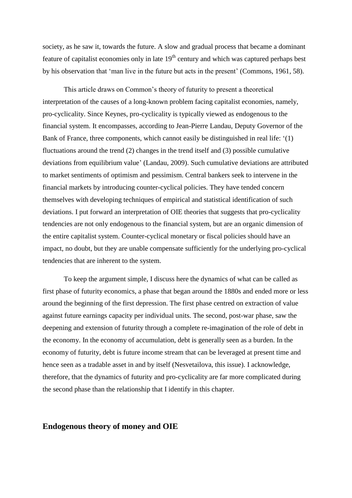society, as he saw it, towards the future. A slow and gradual process that became a dominant feature of capitalist economies only in late  $19<sup>th</sup>$  century and which was captured perhaps best by his observation that 'man live in the future but acts in the present' (Commons, 1961, 58).

This article draws on Common's theory of futurity to present a theoretical interpretation of the causes of a long-known problem facing capitalist economies, namely, pro-cyclicality. Since Keynes, pro-cyclicality is typically viewed as endogenous to the financial system. It encompasses, according to Jean-Pierre Landau, Deputy Governor of the Bank of France, three components, which cannot easily be distinguished in real life: '(1) fluctuations around the trend (2) changes in the trend itself and (3) possible cumulative deviations from equilibrium value' (Landau, 2009). Such cumulative deviations are attributed to market sentiments of optimism and pessimism. Central bankers seek to intervene in the financial markets by introducing counter-cyclical policies. They have tended concern themselves with developing techniques of empirical and statistical identification of such deviations. I put forward an interpretation of OIE theories that suggests that pro-cyclicality tendencies are not only endogenous to the financial system, but are an organic dimension of the entire capitalist system. Counter-cyclical monetary or fiscal policies should have an impact, no doubt, but they are unable compensate sufficiently for the underlying pro-cyclical tendencies that are inherent to the system.

To keep the argument simple, I discuss here the dynamics of what can be called as first phase of futurity economics, a phase that began around the 1880s and ended more or less around the beginning of the first depression. The first phase centred on extraction of value against future earnings capacity per individual units. The second, post-war phase, saw the deepening and extension of futurity through a complete re-imagination of the role of debt in the economy. In the economy of accumulation, debt is generally seen as a burden. In the economy of futurity, debt is future income stream that can be leveraged at present time and hence seen as a tradable asset in and by itself (Nesvetailova, this issue). I acknowledge, therefore, that the dynamics of futurity and pro-cyclicality are far more complicated during the second phase than the relationship that I identify in this chapter.

## **Endogenous theory of money and OIE**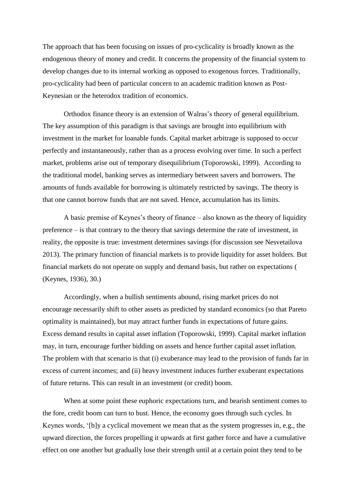The approach that has been focusing on issues of pro-cyclicality is broadly known as the endogenous theory of money and credit. It concerns the propensity of the financial system to develop changes due to its internal working as opposed to exogenous forces. Traditionally, pro-cyclicality had been of particular concern to an academic tradition known as Post-Keynesian or the heterodox tradition of economics.

Orthodox finance theory is an extension of Walras's theory of general equilibrium. The key assumption of this paradigm is that savings are brought into equilibrium with investment in the market for loanable funds. Capital market arbitrage is supposed to occur perfectly and instantaneously, rather than as a process evolving over time. In such a perfect market, problems arise out of temporary disequilibrium (Toporowski, 1999). According to the traditional model, banking serves as intermediary between savers and borrowers. The amounts of funds available for borrowing is ultimately restricted by savings. The theory is that one cannot borrow funds that are not saved. Hence, accumulation has its limits.

A basic premise of Keynes's theory of finance – also known as the theory of liquidity preference – is that contrary to the theory that savings determine the rate of investment, in reality, the opposite is true: investment determines savings (for discussion see Nesvetailova 2013). The primary function of financial markets is to provide liquidity for asset holders. But financial markets do not operate on supply and demand basis, but rather on expectations ( (Keynes, 1936), 30.)

Accordingly, when a bullish sentiments abound, rising market prices do not encourage necessarily shift to other assets as predicted by standard economics (so that Pareto optimality is maintained), but may attract further funds in expectations of future gains. Excess demand results in capital asset inflation (Toporowski, 1999). Capital market inflation may, in turn, encourage further bidding on assets and hence further capital asset inflation. The problem with that scenario is that (i) exuberance may lead to the provision of funds far in excess of current incomes; and (ii) heavy investment induces further exuberant expectations of future returns. This can result in an investment (or credit) boom.

When at some point these euphoric expectations turn, and bearish sentiment comes to the fore, credit boom can turn to bust. Hence, the economy goes through such cycles. In Keynes words, '[b]y a cyclical movement we mean that as the system progresses in, e.g., the upward direction, the forces propelling it upwards at first gather force and have a cumulative effect on one another but gradually lose their strength until at a certain point they tend to be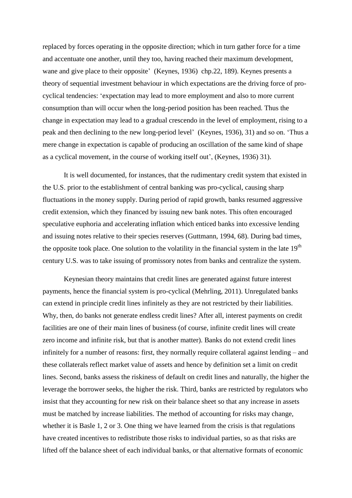replaced by forces operating in the opposite direction; which in turn gather force for a time and accentuate one another, until they too, having reached their maximum development, wane and give place to their opposite' (Keynes, 1936) chp.22, 189). Keynes presents a theory of sequential investment behaviour in which expectations are the driving force of procyclical tendencies: 'expectation may lead to more employment and also to more current consumption than will occur when the long-period position has been reached. Thus the change in expectation may lead to a gradual crescendo in the level of employment, rising to a peak and then declining to the new long-period level' (Keynes, 1936), 31) and so on. 'Thus a mere change in expectation is capable of producing an oscillation of the same kind of shape as a cyclical movement, in the course of working itself out', (Keynes, 1936) 31).

It is well documented, for instances, that the rudimentary credit system that existed in the U.S. prior to the establishment of central banking was pro-cyclical, causing sharp fluctuations in the money supply. During period of rapid growth, banks resumed aggressive credit extension, which they financed by issuing new bank notes. This often encouraged speculative euphoria and accelerating inflation which enticed banks into excessive lending and issuing notes relative to their species reserves (Guttmann, 1994, 68). During bad times, the opposite took place. One solution to the volatility in the financial system in the late  $19<sup>th</sup>$ century U.S. was to take issuing of promissory notes from banks and centralize the system.

Keynesian theory maintains that credit lines are generated against future interest payments, hence the financial system is pro-cyclical (Mehrling, 2011). Unregulated banks can extend in principle credit lines infinitely as they are not restricted by their liabilities. Why, then, do banks not generate endless credit lines? After all, interest payments on credit facilities are one of their main lines of business (of course, infinite credit lines will create zero income and infinite risk, but that is another matter). Banks do not extend credit lines infinitely for a number of reasons: first, they normally require collateral against lending – and these collaterals reflect market value of assets and hence by definition set a limit on credit lines. Second, banks assess the riskiness of default on credit lines and naturally, the higher the leverage the borrower seeks, the higher the risk. Third, banks are restricted by regulators who insist that they accounting for new risk on their balance sheet so that any increase in assets must be matched by increase liabilities. The method of accounting for risks may change, whether it is Basle 1, 2 or 3. One thing we have learned from the crisis is that regulations have created incentives to redistribute those risks to individual parties, so as that risks are lifted off the balance sheet of each individual banks, or that alternative formats of economic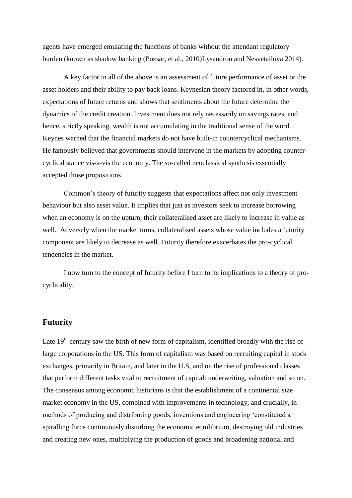agents have emerged emulating the functions of banks without the attendant regulatory burden (known as shadow banking (Pozsar, et al., 2010)Lysandrou and Nesvetailova 2014).

A key factor in all of the above is an assessment of future performance of asset or the asset holders and their ability to pay back loans. Keynesian theory factored in, in other words, expectations of future returns and shows that sentiments about the future determine the dynamics of the credit creation. Investment does not rely necessarily on savings rates, and hence, strictly speaking, wealth is not accumulating in the traditional sense of the word. Keynes warned that the financial markets do not have built-in countercyclical mechanisms. He famously believed that governments should intervene in the markets by adopting countercyclical stance vis-a-vis the economy. The so-called neoclassical synthesis essentially accepted those propositions.

Common's theory of futurity suggests that expectations affect not only investment behaviour but also asset value. It implies that just as investors seek to increase borrowing when an economy is on the upturn, their collateralised asset are likely to increase in value as well. Adversely when the market turns, collateralised assets whose value includes a futurity component are likely to decrease as well. Futurity therefore exacerbates the pro-cyclical tendencies in the market.

I now turn to the concept of futurity before I turn to its implications to a theory of procyclicality.

# **Futurity**

Late  $19<sup>th</sup>$  century saw the birth of new form of capitalism, identified broadly with the rise of large corporations in the US. This form of capitalism was based on recruiting capital in stock exchanges, primarily in Britain, and later in the U.S, and on the rise of professional classes that perform different tasks vital to recruitment of capital: underwriting, valuation and so on. The consensus among economic historians is that the establishment of a continental size market economy in the US, combined with improvements in technology, and crucially, in methods of producing and distributing goods, inventions and engineering 'constituted a spiralling force continuously disturbing the economic equilibrium, destroying old industries and creating new ones, multiplying the production of goods and broadening national and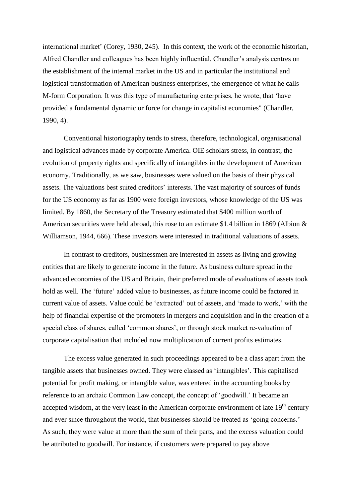international market' (Corey, 1930, 245). In this context, the work of the economic historian, Alfred Chandler and colleagues has been highly influential. Chandler's analysis centres on the establishment of the internal market in the US and in particular the institutional and logistical transformation of American business enterprises, the emergence of what he calls M-form Corporation. It was this type of manufacturing enterprises, he wrote, that 'have provided a fundamental dynamic or force for change in capitalist economies" (Chandler, 1990, 4).

Conventional historiography tends to stress, therefore, technological, organisational and logistical advances made by corporate America. OIE scholars stress, in contrast, the evolution of property rights and specifically of intangibles in the development of American economy. Traditionally, as we saw, businesses were valued on the basis of their physical assets. The valuations best suited creditors' interests. The vast majority of sources of funds for the US economy as far as 1900 were foreign investors, whose knowledge of the US was limited. By 1860, the Secretary of the Treasury estimated that \$400 million worth of American securities were held abroad, this rose to an estimate \$1.4 billion in 1869 (Albion & Williamson, 1944, 666). These investors were interested in traditional valuations of assets.

In contrast to creditors, businessmen are interested in assets as living and growing entities that are likely to generate income in the future. As business culture spread in the advanced economies of the US and Britain, their preferred mode of evaluations of assets took hold as well. The 'future' added value to businesses, as future income could be factored in current value of assets. Value could be 'extracted' out of assets, and 'made to work,' with the help of financial expertise of the promoters in mergers and acquisition and in the creation of a special class of shares, called 'common shares', or through stock market re-valuation of corporate capitalisation that included now multiplication of current profits estimates.

The excess value generated in such proceedings appeared to be a class apart from the tangible assets that businesses owned. They were classed as 'intangibles'. This capitalised potential for profit making, or intangible value, was entered in the accounting books by reference to an archaic Common Law concept, the concept of 'goodwill.' It became an accepted wisdom, at the very least in the American corporate environment of late  $19<sup>th</sup>$  century and ever since throughout the world, that businesses should be treated as 'going concerns.' As such, they were value at more than the sum of their parts, and the excess valuation could be attributed to goodwill. For instance, if customers were prepared to pay above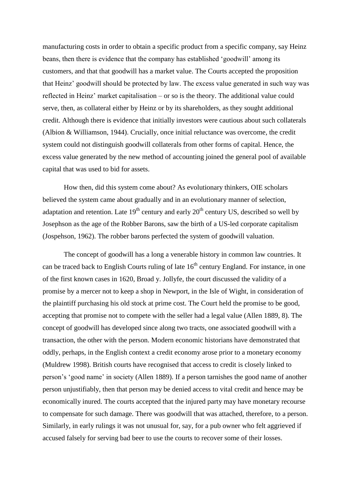manufacturing costs in order to obtain a specific product from a specific company, say Heinz beans, then there is evidence that the company has established 'goodwill' among its customers, and that that goodwill has a market value. The Courts accepted the proposition that Heinz' goodwill should be protected by law. The excess value generated in such way was reflected in Heinz' market capitalisation – or so is the theory. The additional value could serve, then, as collateral either by Heinz or by its shareholders, as they sought additional credit. Although there is evidence that initially investors were cautious about such collaterals (Albion & Williamson, 1944). Crucially, once initial reluctance was overcome, the credit system could not distinguish goodwill collaterals from other forms of capital. Hence, the excess value generated by the new method of accounting joined the general pool of available capital that was used to bid for assets.

How then, did this system come about? As evolutionary thinkers, OIE scholars believed the system came about gradually and in an evolutionary manner of selection, adaptation and retention. Late  $19<sup>th</sup>$  century and early  $20<sup>th</sup>$  century US, described so well by Josephson as the age of the Robber Barons, saw the birth of a US-led corporate capitalism (Jospehson, 1962). The robber barons perfected the system of goodwill valuation.

The concept of goodwill has a long a venerable history in common law countries. It can be traced back to English Courts ruling of late  $16<sup>th</sup>$  century England. For instance, in one of the first known cases in 1620, Broad y. Jollyfe, the court discussed the validity of a promise by a mercer not to keep a shop in Newport, in the Isle of Wight, in consideration of the plaintiff purchasing his old stock at prime cost. The Court held the promise to be good, accepting that promise not to compete with the seller had a legal value (Allen 1889, 8). The concept of goodwill has developed since along two tracts, one associated goodwill with a transaction, the other with the person. Modern economic historians have demonstrated that oddly, perhaps, in the English context a credit economy arose prior to a monetary economy (Muldrew 1998). British courts have recognised that access to credit is closely linked to person's 'good name' in society (Allen 1889). If a person tarnishes the good name of another person unjustifiably, then that person may be denied access to vital credit and hence may be economically inured. The courts accepted that the injured party may have monetary recourse to compensate for such damage. There was goodwill that was attached, therefore, to a person. Similarly, in early rulings it was not unusual for, say, for a pub owner who felt aggrieved if accused falsely for serving bad beer to use the courts to recover some of their losses.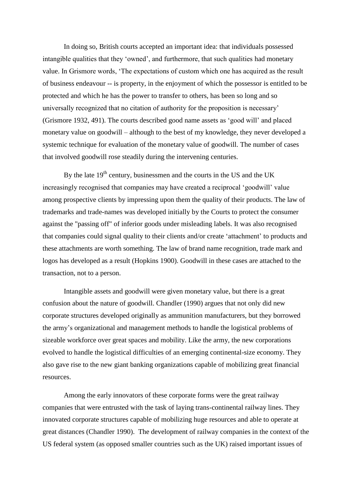In doing so, British courts accepted an important idea: that individuals possessed intangible qualities that they 'owned', and furthermore, that such qualities had monetary value. In Grismore words, 'The expectations of custom which one has acquired as the result of business endeavour -- is property, in the enjoyment of which the possessor is entitled to be protected and which he has the power to transfer to others, has been so long and so universally recognized that no citation of authority for the proposition is necessary' (Grismore 1932, 491). The courts described good name assets as 'good will' and placed monetary value on goodwill – although to the best of my knowledge, they never developed a systemic technique for evaluation of the monetary value of goodwill. The number of cases that involved goodwill rose steadily during the intervening centuries.

By the late  $19<sup>th</sup>$  century, businessmen and the courts in the US and the UK increasingly recognised that companies may have created a reciprocal 'goodwill' value among prospective clients by impressing upon them the quality of their products. The law of trademarks and trade-names was developed initially by the Courts to protect the consumer against the "passing off" of inferior goods under misleading labels. It was also recognised that companies could signal quality to their clients and/or create 'attachment' to products and these attachments are worth something. The law of brand name recognition, trade mark and logos has developed as a result (Hopkins 1900). Goodwill in these cases are attached to the transaction, not to a person.

Intangible assets and goodwill were given monetary value, but there is a great confusion about the nature of goodwill. Chandler (1990) argues that not only did new corporate structures developed originally as ammunition manufacturers, but they borrowed the army's organizational and management methods to handle the logistical problems of sizeable workforce over great spaces and mobility. Like the army, the new corporations evolved to handle the logistical difficulties of an emerging continental-size economy. They also gave rise to the new giant banking organizations capable of mobilizing great financial resources.

Among the early innovators of these corporate forms were the great railway companies that were entrusted with the task of laying trans-continental railway lines. They innovated corporate structures capable of mobilizing huge resources and able to operate at great distances (Chandler 1990). The development of railway companies in the context of the US federal system (as opposed smaller countries such as the UK) raised important issues of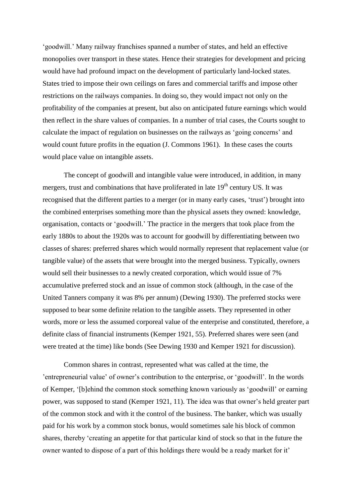'goodwill.' Many railway franchises spanned a number of states, and held an effective monopolies over transport in these states. Hence their strategies for development and pricing would have had profound impact on the development of particularly land-locked states. States tried to impose their own ceilings on fares and commercial tariffs and impose other restrictions on the railways companies. In doing so, they would impact not only on the profitability of the companies at present, but also on anticipated future earnings which would then reflect in the share values of companies. In a number of trial cases, the Courts sought to calculate the impact of regulation on businesses on the railways as 'going concerns' and would count future profits in the equation (J. Commons 1961). In these cases the courts would place value on intangible assets.

The concept of goodwill and intangible value were introduced, in addition, in many mergers, trust and combinations that have proliferated in late  $19<sup>th</sup>$  century US. It was recognised that the different parties to a merger (or in many early cases, 'trust') brought into the combined enterprises something more than the physical assets they owned: knowledge, organisation, contacts or 'goodwill.' The practice in the mergers that took place from the early 1880s to about the 1920s was to account for goodwill by differentiating between two classes of shares: preferred shares which would normally represent that replacement value (or tangible value) of the assets that were brought into the merged business. Typically, owners would sell their businesses to a newly created corporation, which would issue of 7% accumulative preferred stock and an issue of common stock (although, in the case of the United Tanners company it was 8% per annum) (Dewing 1930). The preferred stocks were supposed to bear some definite relation to the tangible assets. They represented in other words, more or less the assumed corporeal value of the enterprise and constituted, therefore, a definite class of financial instruments (Kemper 1921, 55). Preferred shares were seen (and were treated at the time) like bonds (See Dewing 1930 and Kemper 1921 for discussion).

Common shares in contrast, represented what was called at the time, the 'entrepreneurial value' of owner's contribution to the enterprise, or 'goodwill'. In the words of Kemper, '[b]ehind the common stock something known variously as 'goodwill' or earning power, was supposed to stand (Kemper 1921, 11). The idea was that owner's held greater part of the common stock and with it the control of the business. The banker, which was usually paid for his work by a common stock bonus, would sometimes sale his block of common shares, thereby 'creating an appetite for that particular kind of stock so that in the future the owner wanted to dispose of a part of this holdings there would be a ready market for it'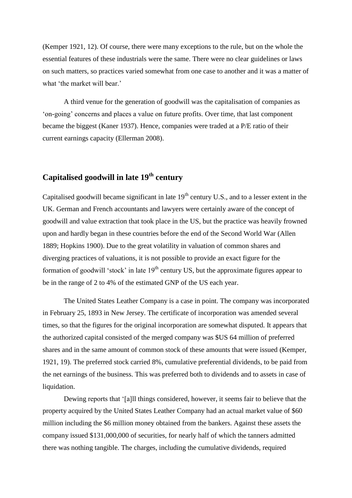(Kemper 1921, 12). Of course, there were many exceptions to the rule, but on the whole the essential features of these industrials were the same. There were no clear guidelines or laws on such matters, so practices varied somewhat from one case to another and it was a matter of what 'the market will bear.'

A third venue for the generation of goodwill was the capitalisation of companies as 'on-going' concerns and places a value on future profits. Over time, that last component became the biggest (Kaner 1937). Hence, companies were traded at a P/E ratio of their current earnings capacity (Ellerman 2008).

# **Capitalised goodwill in late 19th century**

Capitalised goodwill became significant in late  $19<sup>th</sup>$  century U.S., and to a lesser extent in the UK. German and French accountants and lawyers were certainly aware of the concept of goodwill and value extraction that took place in the US, but the practice was heavily frowned upon and hardly began in these countries before the end of the Second World War (Allen 1889; Hopkins 1900). Due to the great volatility in valuation of common shares and diverging practices of valuations, it is not possible to provide an exact figure for the formation of goodwill 'stock' in late  $19<sup>th</sup>$  century US, but the approximate figures appear to be in the range of 2 to 4% of the estimated GNP of the US each year.

The United States Leather Company is a case in point. The company was incorporated in February 25, 1893 in New Jersey. The certificate of incorporation was amended several times, so that the figures for the original incorporation are somewhat disputed. It appears that the authorized capital consisted of the merged company was \$US 64 million of preferred shares and in the same amount of common stock of these amounts that were issued (Kemper, 1921, 19). The preferred stock carried 8%, cumulative preferential dividends, to be paid from the net earnings of the business. This was preferred both to dividends and to assets in case of liquidation.

Dewing reports that '[a]ll things considered, however, it seems fair to believe that the property acquired by the United States Leather Company had an actual market value of \$60 million including the \$6 million money obtained from the bankers. Against these assets the company issued \$131,000,000 of securities, for nearly half of which the tanners admitted there was nothing tangible. The charges, including the cumulative dividends, required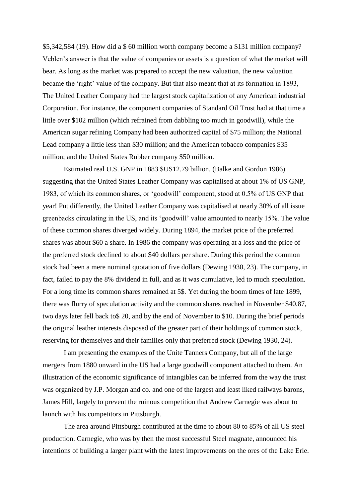\$5,342,584 (19). How did a \$ 60 million worth company become a \$131 million company? Veblen's answer is that the value of companies or assets is a question of what the market will bear. As long as the market was prepared to accept the new valuation, the new valuation became the 'right' value of the company. But that also meant that at its formation in 1893, The United Leather Company had the largest stock capitalization of any American industrial Corporation. For instance, the component companies of Standard Oil Trust had at that time a little over \$102 million (which refrained from dabbling too much in goodwill), while the American sugar refining Company had been authorized capital of \$75 million; the National Lead company a little less than \$30 million; and the American tobacco companies \$35 million; and the United States Rubber company \$50 million.

Estimated real U.S. GNP in 1883 \$US12.79 billion, (Balke and Gordon 1986) suggesting that the United States Leather Company was capitalised at about 1% of US GNP, 1983, of which its common shares, or 'goodwill' component, stood at 0.5% of US GNP that year! Put differently, the United Leather Company was capitalised at nearly 30% of all issue greenbacks circulating in the US, and its 'goodwill' value amounted to nearly 15%. The value of these common shares diverged widely. During 1894, the market price of the preferred shares was about \$60 a share. In 1986 the company was operating at a loss and the price of the preferred stock declined to about \$40 dollars per share. During this period the common stock had been a mere nominal quotation of five dollars (Dewing 1930, 23). The company, in fact, failed to pay the 8% dividend in full, and as it was cumulative, led to much speculation. For a long time its common shares remained at 5\$. Yet during the boom times of late 1899, there was flurry of speculation activity and the common shares reached in November \$40.87, two days later fell back to\$ 20, and by the end of November to \$10. During the brief periods the original leather interests disposed of the greater part of their holdings of common stock, reserving for themselves and their families only that preferred stock (Dewing 1930, 24).

I am presenting the examples of the Unite Tanners Company, but all of the large mergers from 1880 onward in the US had a large goodwill component attached to them. An illustration of the economic significance of intangibles can be inferred from the way the trust was organized by J.P. Morgan and co. and one of the largest and least liked railways barons, James Hill, largely to prevent the ruinous competition that Andrew Carnegie was about to launch with his competitors in Pittsburgh.

The area around Pittsburgh contributed at the time to about 80 to 85% of all US steel production. Carnegie, who was by then the most successful Steel magnate, announced his intentions of building a larger plant with the latest improvements on the ores of the Lake Erie.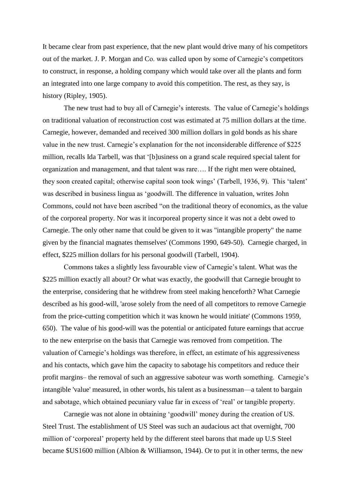It became clear from past experience, that the new plant would drive many of his competitors out of the market. J. P. Morgan and Co. was called upon by some of Carnegie's competitors to construct, in response, a holding company which would take over all the plants and form an integrated into one large company to avoid this competition. The rest, as they say, is history (Ripley, 1905).

The new trust had to buy all of Carnegie's interests. The value of Carnegie's holdings on traditional valuation of reconstruction cost was estimated at 75 million dollars at the time. Carnegie, however, demanded and received 300 million dollars in gold bonds as his share value in the new trust. Carnegie's explanation for the not inconsiderable difference of \$225 million, recalls Ida Tarbell, was that '[b]usiness on a grand scale required special talent for organization and management, and that talent was rare…. If the right men were obtained, they soon created capital; otherwise capital soon took wings' (Tarbell, 1936, 9). This 'talent' was described in business lingua as 'goodwill. The difference in valuation, writes John Commons, could not have been ascribed "on the traditional theory of economics, as the value of the corporeal property. Nor was it incorporeal property since it was not a debt owed to Carnegie. The only other name that could be given to it was "intangible property" the name given by the financial magnates themselves' (Commons 1990, 649-50). Carnegie charged, in effect, \$225 million dollars for his personal goodwill (Tarbell, 1904).

Commons takes a slightly less favourable view of Carnegie's talent. What was the \$225 million exactly all about? Or what was exactly, the goodwill that Carnegie brought to the enterprise, considering that he withdrew from steel making henceforth? What Carnegie described as his good-will, 'arose solely from the need of all competitors to remove Carnegie from the price-cutting competition which it was known he would initiate' (Commons 1959, 650). The value of his good-will was the potential or anticipated future earnings that accrue to the new enterprise on the basis that Carnegie was removed from competition. The valuation of Carnegie's holdings was therefore, in effect, an estimate of his aggressiveness and his contacts, which gave him the capacity to sabotage his competitors and reduce their profit margins– the removal of such an aggressive saboteur was worth something. Carnegie's intangible 'value' measured, in other words, his talent as a businessman—a talent to bargain and sabotage, which obtained pecuniary value far in excess of 'real' or tangible property.

Carnegie was not alone in obtaining 'goodwill' money during the creation of US. Steel Trust. The establishment of US Steel was such an audacious act that overnight, 700 million of 'corporeal' property held by the different steel barons that made up U.S Steel became \$US1600 million (Albion & Williamson, 1944). Or to put it in other terms, the new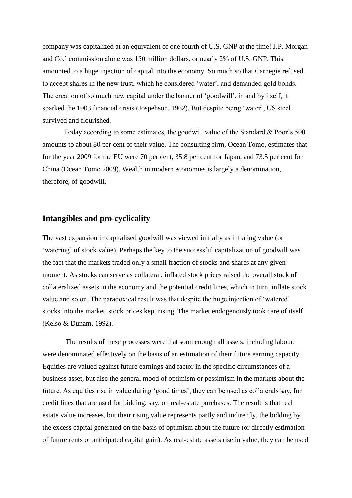company was capitalized at an equivalent of one fourth of U.S. GNP at the time! J.P. Morgan and Co.' commission alone was 150 million dollars, or nearly 2% of U.S. GNP. This amounted to a huge injection of capital into the economy. So much so that Carnegie refused to accept shares in the new trust, which he considered 'water', and demanded gold bonds. The creation of so much new capital under the banner of 'goodwill', in and by itself, it sparked the 1903 financial crisis (Jospehson, 1962). But despite being 'water', US steel survived and flourished.

Today according to some estimates, the goodwill value of the Standard & Poor's 500 amounts to about 80 per cent of their value. The consulting firm, Ocean Tomo, estimates that for the year 2009 for the EU were 70 per cent, 35.8 per cent for Japan, and 73.5 per cent for China (Ocean Tomo 2009). Wealth in modern economies is largely a denomination, therefore, of goodwill.

# **Intangibles and pro-cyclicality**

The vast expansion in capitalised goodwill was viewed initially as inflating value (or 'watering' of stock value). Perhaps the key to the successful capitalization of goodwill was the fact that the markets traded only a small fraction of stocks and shares at any given moment. As stocks can serve as collateral, inflated stock prices raised the overall stock of collateralized assets in the economy and the potential credit lines, which in turn, inflate stock value and so on. The paradoxical result was that despite the huge injection of 'watered' stocks into the market, stock prices kept rising. The market endogenously took care of itself (Kelso & Dunam, 1992).

The results of these processes were that soon enough all assets, including labour, were denominated effectively on the basis of an estimation of their future earning capacity. Equities are valued against future earnings and factor in the specific circumstances of a business asset, but also the general mood of optimism or pessimism in the markets about the future. As equities rise in value during 'good times', they can be used as collaterals say, for credit lines that are used for bidding, say, on real-estate purchases. The result is that real estate value increases, but their rising value represents partly and indirectly, the bidding by the excess capital generated on the basis of optimism about the future (or directly estimation of future rents or anticipated capital gain). As real-estate assets rise in value, they can be used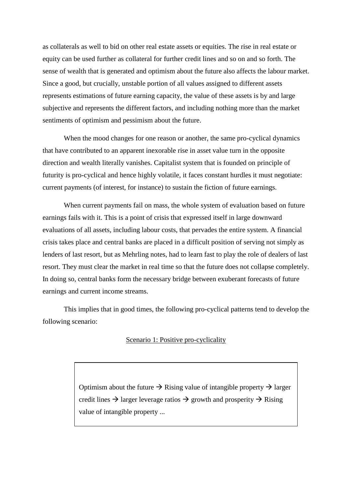as collaterals as well to bid on other real estate assets or equities. The rise in real estate or equity can be used further as collateral for further credit lines and so on and so forth. The sense of wealth that is generated and optimism about the future also affects the labour market. Since a good, but crucially, unstable portion of all values assigned to different assets represents estimations of future earning capacity, the value of these assets is by and large subjective and represents the different factors, and including nothing more than the market sentiments of optimism and pessimism about the future.

When the mood changes for one reason or another, the same pro-cyclical dynamics that have contributed to an apparent inexorable rise in asset value turn in the opposite direction and wealth literally vanishes. Capitalist system that is founded on principle of futurity is pro-cyclical and hence highly volatile, it faces constant hurdles it must negotiate: current payments (of interest, for instance) to sustain the fiction of future earnings.

When current payments fail on mass, the whole system of evaluation based on future earnings fails with it. This is a point of crisis that expressed itself in large downward evaluations of all assets, including labour costs, that pervades the entire system. A financial crisis takes place and central banks are placed in a difficult position of serving not simply as lenders of last resort, but as Mehrling notes, had to learn fast to play the role of dealers of last resort. They must clear the market in real time so that the future does not collapse completely. In doing so, central banks form the necessary bridge between exuberant forecasts of future earnings and current income streams.

This implies that in good times, the following pro-cyclical patterns tend to develop the following scenario:

#### Scenario 1: Positive pro-cyclicality

Optimism about the future  $\rightarrow$  Rising value of intangible property  $\rightarrow$  larger credit lines  $\rightarrow$  larger leverage ratios  $\rightarrow$  growth and prosperity  $\rightarrow$  Rising value of intangible property ...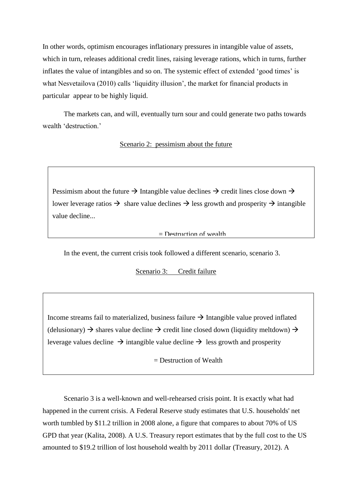In other words, optimism encourages inflationary pressures in intangible value of assets, which in turn, releases additional credit lines, raising leverage rations, which in turns, further inflates the value of intangibles and so on. The systemic effect of extended 'good times' is what Nesvetailova (2010) calls 'liquidity illusion', the market for financial products in particular appear to be highly liquid.

The markets can, and will, eventually turn sour and could generate two paths towards wealth 'destruction.'

#### Scenario 2: pessimism about the future

Pessimism about the future  $\rightarrow$  Intangible value declines  $\rightarrow$  credit lines close down  $\rightarrow$ lower leverage ratios  $\rightarrow$  share value declines  $\rightarrow$  less growth and prosperity  $\rightarrow$  intangible value decline...

#### $=$  Destruction of wealth

In the event, the current crisis took followed a different scenario, scenario 3.

T

Scenario 3: Credit failure

Income streams fail to materialized, business failure  $\rightarrow$  Intangible value proved inflated (delusionary)  $\rightarrow$  shares value decline  $\rightarrow$  credit line closed down (liquidity meltdown)  $\rightarrow$ leverage values decline  $\rightarrow$  intangible value decline  $\rightarrow$  less growth and prosperity

 $=$  Destruction of Wealth  $=$ 

Scenario 3 is a well-known and well-rehearsed crisis point. It is exactly what had happened in the current crisis. A Federal Reserve study estimates that U.S. households' net worth tumbled by \$11.2 trillion in 2008 alone, a figure that compares to about 70% of US GPD that year (Kalita, 2008). A U.S. Treasury report estimates that by the full cost to the US amounted to \$19.2 trillion of lost household wealth by 2011 dollar (Treasury, 2012). A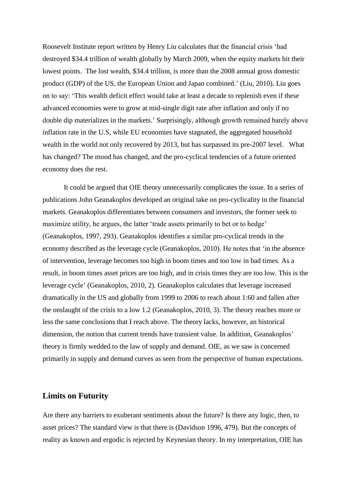Roosevelt Institute report written by Henry Liu calculates that the financial crisis 'had destroyed \$34.4 trillion of wealth globally by March 2009, when the equity markets hit their lowest points. The lost wealth, \$34.4 trillion, is more than the 2008 annual gross domestic product (GDP) of the US, the European Union and Japan combined.' (Liu, 2010). Liu goes on to say: 'This wealth deficit effect would take at least a decade to replenish even if these advanced economies were to grow at mid-single digit rate after inflation and only if no double dip materializes in the markets.' Surprisingly, although growth remained barely above inflation rate in the U.S, while EU economies have stagnated, the aggregated household wealth in the world not only recovered by 2013, but has surpassed its pre-2007 level. What has changed? The mood has changed, and the pro-cyclical tendencies of a future oriented economy does the rest.

It could be argued that OIE theory unnecessarily complicates the issue. In a series of publications John Geanakoplos developed an original take on pro-cyclicality in the financial markets. Geanakoplos differentiates between consumers and investors, the former seek to maximize utility, he argues, the latter 'trade assets primarily to bet or to hedge' (Geanakoplos, 1997, 293). Geanakoplos identifies a similar pro-cyclical trends in the economy described as the leverage cycle (Geanakoplos, 2010). He notes that 'in the absence of intervention, leverage becomes too high in boom times and too low in bad times. As a result, in boom times asset prices are too high, and in crisis times they are too low. This is the leverage cycle' (Geanakoplos, 2010, 2). Geanakoplos calculates that leverage increased dramatically in the US and globally from 1999 to 2006 to reach about 1:60 and fallen after the onslaught of the crisis to a low 1.2 (Geanakoplos, 2010, 3). The theory reaches more or less the same conclusions that I reach above. The theory lacks, however, an historical dimension, the notion that current trends have transient value. In addition, Geanakoplos' theory is firmly wedded to the law of supply and demand. OIE, as we saw is concerned primarily in supply and demand curves as seen from the perspective of human expectations.

## **Limits on Futurity**

Are there any barriers to exuberant sentiments about the future? Is there any logic, then, to asset prices? The standard view is that there is (Davidson 1996, 479). But the concepts of reality as known and ergodic is rejected by Keynesian theory. In my interpretation, OIE has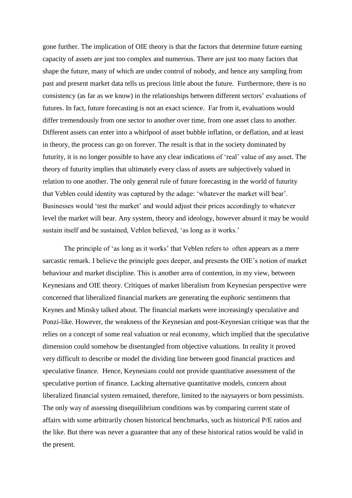gone further. The implication of OIE theory is that the factors that determine future earning capacity of assets are just too complex and numerous. There are just too many factors that shape the future, many of which are under control of nobody, and hence any sampling from past and present market data tells us precious little about the future. Furthermore, there is no consistency (as far as we know) in the relationships between different sectors' evaluations of futures. In fact, future forecasting is not an exact science. Far from it, evaluations would differ tremendously from one sector to another over time, from one asset class to another. Different assets can enter into a whirlpool of asset bubble inflation, or deflation, and at least in theory, the process can go on forever. The result is that in the society dominated by futurity, it is no longer possible to have any clear indications of 'real' value of any asset. The theory of futurity implies that ultimately every class of assets are subjectively valued in relation to one another. The only general rule of future forecasting in the world of futurity that Veblen could identity was captured by the adage: 'whatever the market will bear'. Businesses would 'test the market' and would adjust their prices accordingly to whatever level the market will bear. Any system, theory and ideology, however absurd it may be would sustain itself and be sustained, Veblen believed, 'as long as it works.'

The principle of 'as long as it works' that Veblen refers to often appears as a mere sarcastic remark. I believe the principle goes deeper, and presents the OIE's notion of market behaviour and market discipline. This is another area of contention, in my view, between Keynesians and OIE theory. Critiques of market liberalism from Keynesian perspective were concerned that liberalized financial markets are generating the euphoric sentiments that Keynes and Minsky talked about. The financial markets were increasingly speculative and Ponzi-like. However, the weakness of the Keynesian and post-Keynesian critique was that the relies on a concept of some real valuation or real economy, which implied that the speculative dimension could somehow be disentangled from objective valuations. In reality it proved very difficult to describe or model the dividing line between good financial practices and speculative finance. Hence, Keynesians could not provide quantitative assessment of the speculative portion of finance. Lacking alternative quantitative models, concern about liberalized financial system remained, therefore, limited to the naysayers or born pessimists. The only way of assessing disequilibrium conditions was by comparing current state of affairs with some arbitrarily chosen historical benchmarks, such as historical P/E ratios and the like. But there was never a guarantee that any of these historical ratios would be valid in the present.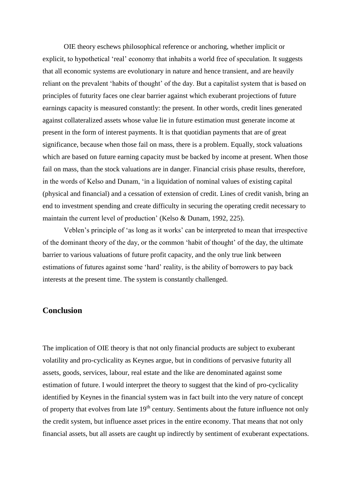OIE theory eschews philosophical reference or anchoring, whether implicit or explicit, to hypothetical 'real' economy that inhabits a world free of speculation. It suggests that all economic systems are evolutionary in nature and hence transient, and are heavily reliant on the prevalent 'habits of thought' of the day. But a capitalist system that is based on principles of futurity faces one clear barrier against which exuberant projections of future earnings capacity is measured constantly: the present. In other words, credit lines generated against collateralized assets whose value lie in future estimation must generate income at present in the form of interest payments. It is that quotidian payments that are of great significance, because when those fail on mass, there is a problem. Equally, stock valuations which are based on future earning capacity must be backed by income at present. When those fail on mass, than the stock valuations are in danger. Financial crisis phase results, therefore, in the words of Kelso and Dunam, 'in a liquidation of nominal values of existing capital (physical and financial) and a cessation of extension of credit. Lines of credit vanish, bring an end to investment spending and create difficulty in securing the operating credit necessary to maintain the current level of production' (Kelso & Dunam, 1992, 225).

Veblen's principle of 'as long as it works' can be interpreted to mean that irrespective of the dominant theory of the day, or the common 'habit of thought' of the day, the ultimate barrier to various valuations of future profit capacity, and the only true link between estimations of futures against some 'hard' reality, is the ability of borrowers to pay back interests at the present time. The system is constantly challenged.

# **Conclusion**

The implication of OIE theory is that not only financial products are subject to exuberant volatility and pro-cyclicality as Keynes argue, but in conditions of pervasive futurity all assets, goods, services, labour, real estate and the like are denominated against some estimation of future. I would interpret the theory to suggest that the kind of pro-cyclicality identified by Keynes in the financial system was in fact built into the very nature of concept of property that evolves from late  $19<sup>th</sup>$  century. Sentiments about the future influence not only the credit system, but influence asset prices in the entire economy. That means that not only financial assets, but all assets are caught up indirectly by sentiment of exuberant expectations.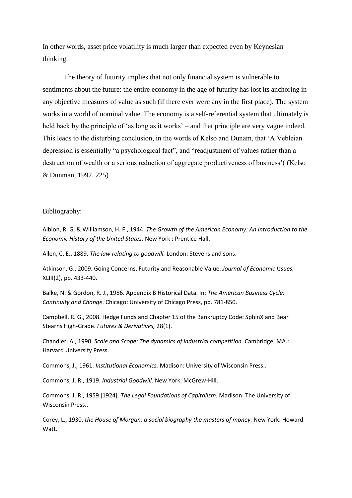In other words, asset price volatility is much larger than expected even by Keynesian thinking.

The theory of futurity implies that not only financial system is vulnerable to sentiments about the future: the entire economy in the age of futurity has lost its anchoring in any objective measures of value as such (if there ever were any in the first place). The system works in a world of nominal value. The economy is a self-referential system that ultimately is held back by the principle of 'as long as it works' – and that principle are very vague indeed. This leads to the disturbing conclusion, in the words of Kelso and Dunam, that 'A Vebleian depression is essentially "a psychological fact", and "readjustment of values rather than a destruction of wealth or a serious reduction of aggregate productiveness of business'( (Kelso & Dunman, 1992, 225)

#### Bibliography:

Albion, R. G. & Williamson, H. F., 1944. *The Growth of the American Economy: An Introduction to the Economic History of the United States.* New York : Prentice Hall.

Allen, C. E., 1889. *The law relating to goodwill.* London: Stevens and sons.

Atkinson, G., 2009. Going Concerns, Futurity and Reasonable Value. *Journal of Economic Issues,*  XLIII(2), pp. 433-440.

Balke, N. & Gordon, R. J., 1986. Appendix B Historical Data. In: *The American Business Cycle: Continuity and Change.* Chicago: University of Chicago Press, pp. 781-850.

Campbell, R. G., 2008. Hedge Funds and Chapter 15 of the Bankruptcy Code: SphinX and Bear Stearns High-Grade. *Futures & Derivatives,* 28(1).

Chandler, A., 1990. *Scale and Scope: The dynamics of industrial competition.* Cambridge, MA.: Harvard University Press.

Commons, J., 1961. *Institutional Economics.* Madison: University of Wisconsin Press..

Commons, J. R., 1919. *Industrial Goodwill.* New York: McGrew-Hill.

Commons, J. R., 1959 [1924]. *The Legal Foundations of Capitalism.* Madison: The University of Wisconsin Press..

Corey, L., 1930. *the House of Morgan: a social biography the masters of money.* New York: Howard Watt.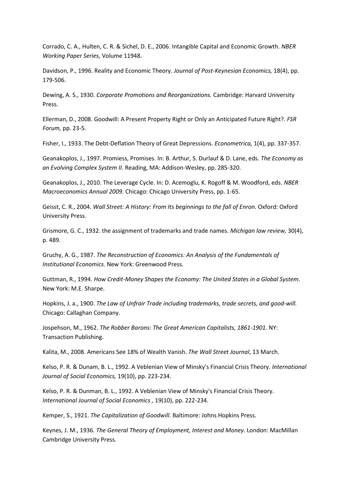Corrado, C. A., Hulten, C. R. & Sichel, D. E., 2006. Intangible Capital and Economic Growth. *NBER Working Paper Series,* Volume 11948.

Davidson, P., 1996. Reality and Economic Theory. *Journal of Post-Keynesian Economics,* 18(4), pp. 179-506.

Dewing, A. S., 1930. *Corporate Promotions and Reorganizations.* Cambridge: Harvard University Press.

Ellerman, D., 2008. Goodwill: A Present Property Right or Only an Anticipated Future Right?. *FSR Forum,* pp. 23-5.

Fisher, I., 1933. The Debt-Deflation Theory of Great Depressions. *Econometrica,* 1(4), pp. 337-357.

Geanakoplos, J., 1997. Promiess, Promises. In: B. Arthur, S. Durlauf & D. Lane, eds. *The Economy as an Evolving Complex System II.* Reading, MA: Addison-Wesley, pp. 285-320.

Geanakoplos, J., 2010. The Leverage Cycle. In: D. Acemoglu, K. Rogoff & M. Woodford, eds. *NBER Macroeconomics Annual 2009.* Chicago: Chicago University Press, pp. 1-65.

Geisst, C. R., 2004. *Wall Street: A History: From Its beginnings to the fall of Enron. Oxford: Oxford* University Press.

Grismore, G. C., 1932. the assignment of trademarks and trade names. *Michigan law review,* 30(4), p. 489.

Gruchy, A. G., 1987. *The Reconstruction of Economics: An Analysis of the Fundamentals of Institutional Economics.* New York: Greenwood Press.

Guttman, R., 1994. *How Credit-Money Shapes the Economy: The United States in a Global System.*  New York: M.E. Sharpe.

Hopkins, J. a., 1900. *The Law of Unfrair Trade including trademarks, trade secrets, and good-will.*  Chicago: Callaghan Company.

Jospehson, M., 1962. *The Robber Barons: The Great American Capitalists, 1861-1901.* NY: Transaction Publishing.

Kalita, M., 2008. Americans See 18% of Wealth Vanish. *The Wall Street Journal*, 13 March.

Kelso, P. R. & Dunam, B. L., 1992. A Veblenian View of Minsky's Financial Crisis Theory. *International Journal of Social Economics,* 19(10), pp. 223-234.

Kelso, P. R. & Dunman, B. L., 1992. A Veblenian View of Minsky's Financial Crisis Theory. *International Journal of Social Economics ,* 19(10), pp. 222-234.

Kemper, S., 1921. *The Capitalization of Goodwill.* Baltimore: Johns Hopkins Press.

Keynes, J. M., 1936. *The General Theory of Employment, Interest and Money.* London: MacMillan Cambridge University Press.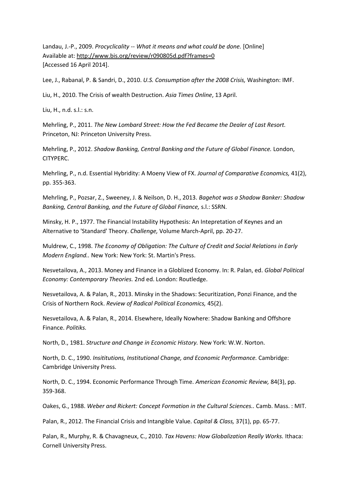Landau, J.-P., 2009. *Procyclicality -- What it means and what could be done.* [Online] Available at: http://www.bis.org/review/r090805d.pdf?frames=0 [Accessed 16 April 2014].

Lee, J., Rabanal, P. & Sandri, D., 2010. *U.S. Consumption after the 2008 Crisis,* Washington: IMF.

Liu, H., 2010. The Crisis of wealth Destruction. *Asia Times Online*, 13 April.

Liu, H., n.d. s.l.: s.n.

Mehrling, P., 2011. *The New Lombard Street: How the Fed Became the Dealer of Last Resort.*  Princeton, NJ: Princeton University Press.

Mehrling, P., 2012. *Shadow Banking, Central Banking and the Future of Global Finance.* London, CITYPERC.

Mehrling, P., n.d. Essential Hybridity: A Moeny View of FX. *Journal of Comparative Economics,* 41(2), pp. 355-363.

Mehrling, P., Pozsar, Z., Sweeney, J. & Neilson, D. H., 2013. *Bagehot was a Shadow Banker: Shadow Banking, Central Banking, and the Future of Global Finance,* s.l.: SSRN.

Minsky, H. P., 1977. The Financial Instability Hypothesis: An Intepretation of Keynes and an Alternative to 'Standard' Theory. *Challenge,* Volume March-April, pp. 20-27.

Muldrew, C., 1998. *The Economy of Obligation: The Culture of Credit and Social Relations in Early Modern England..* New York: New York: St. Martin's Press.

Nesvetailova, A., 2013. Money and Finance in a Globlized Economy. In: R. Palan, ed. *Global Political Economy: Contemporary Theories.* 2nd ed. London: Routledge.

Nesvetailova, A. & Palan, R., 2013. Minsky in the Shadows: Securitization, Ponzi Finance, and the Crisis of Northern Rock. *Review of Radical Political Economics,* 45(2).

Nesvetailova, A. & Palan, R., 2014. Elsewhere, Ideally Nowhere: Shadow Banking and Offshore Finance. *Politiks.*

North, D., 1981. *Structure and Change in Economic History.* New York: W.W. Norton.

North, D. C., 1990. *Insititutions, Institutional Change, and Economic Performance.* Cambridge: Cambridge University Press.

North, D. C., 1994. Economic Performance Through Time. *American Economic Review,* 84(3), pp. 359-368.

Oakes, G., 1988. *Weber and Rickert: Concept Formation in the Cultural Sciences..* Camb. Mass. : MIT.

Palan, R., 2012. The Financial Crisis and Intangible Value. *Capital & Class,* 37(1), pp. 65-77.

Palan, R., Murphy, R. & Chavagneux, C., 2010. *Tax Havens: How Globalization Really Works.* Ithaca: Cornell University Press.